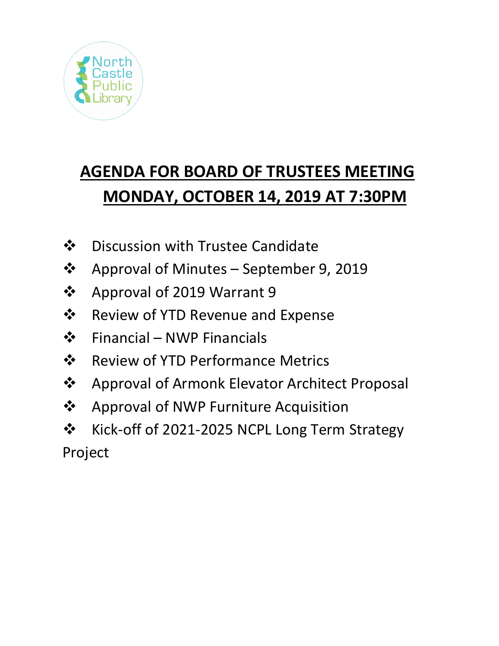

# **AGENDA FOR BOARD OF TRUSTEES MEETING MONDAY, OCTOBER 14, 2019 AT 7:30PM**

- ❖ Discussion with Trustee Candidate
- ❖ Approval of Minutes September 9, 2019
- ❖ Approval of 2019 Warrant 9
- $\dots$  Review of YTD Revenue and Expense
- $\div$  Financial NWP Financials
- **❖** Review of YTD Performance Metrics
- ❖ Approval of Armonk Elevator Architect Proposal
- ❖ Approval of NWP Furniture Acquisition
- ❖ Kick-off of 2021-2025 NCPL Long Term Strategy Project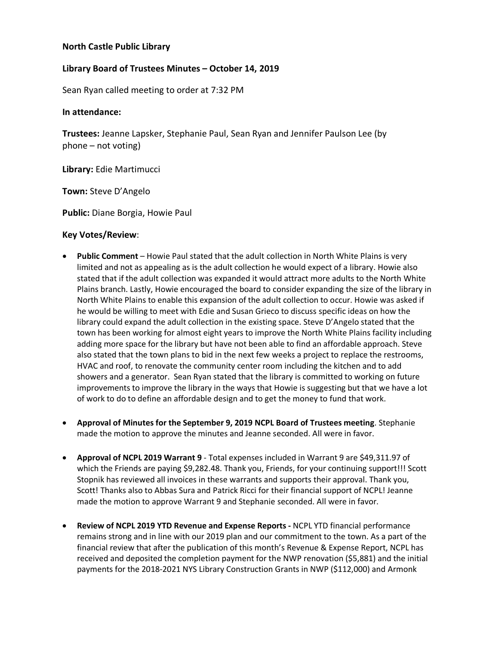## **North Castle Public Library**

## **Library Board of Trustees Minutes – October 14, 2019**

Sean Ryan called meeting to order at 7:32 PM

### **In attendance:**

**Trustees:** Jeanne Lapsker, Stephanie Paul, Sean Ryan and Jennifer Paulson Lee (by phone – not voting)

**Library:** Edie Martimucci

**Town:** Steve D'Angelo

**Public:** Diane Borgia, Howie Paul

### **Key Votes/Review**:

- **Public Comment** Howie Paul stated that the adult collection in North White Plains is very limited and not as appealing as is the adult collection he would expect of a library. Howie also stated that if the adult collection was expanded it would attract more adults to the North White Plains branch. Lastly, Howie encouraged the board to consider expanding the size of the library in North White Plains to enable this expansion of the adult collection to occur. Howie was asked if he would be willing to meet with Edie and Susan Grieco to discuss specific ideas on how the library could expand the adult collection in the existing space. Steve D'Angelo stated that the town has been working for almost eight years to improve the North White Plains facility including adding more space for the library but have not been able to find an affordable approach. Steve also stated that the town plans to bid in the next few weeks a project to replace the restrooms, HVAC and roof, to renovate the community center room including the kitchen and to add showers and a generator. Sean Ryan stated that the library is committed to working on future improvements to improve the library in the ways that Howie is suggesting but that we have a lot of work to do to define an affordable design and to get the money to fund that work.
- **Approval of Minutes for the September 9, 2019 NCPL Board of Trustees meeting**. Stephanie made the motion to approve the minutes and Jeanne seconded. All were in favor.
- **Approval of NCPL 2019 Warrant 9** Total expenses included in Warrant 9 are \$49,311.97 of which the Friends are paying \$9,282.48. Thank you, Friends, for your continuing support!!! Scott Stopnik has reviewed all invoices in these warrants and supports their approval. Thank you, Scott! Thanks also to Abbas Sura and Patrick Ricci for their financial support of NCPL! Jeanne made the motion to approve Warrant 9 and Stephanie seconded. All were in favor.
- **Review of NCPL 2019 YTD Revenue and Expense Reports -** NCPL YTD financial performance remains strong and in line with our 2019 plan and our commitment to the town. As a part of the financial review that after the publication of this month's Revenue & Expense Report, NCPL has received and deposited the completion payment for the NWP renovation (\$5,881) and the initial payments for the 2018-2021 NYS Library Construction Grants in NWP (\$112,000) and Armonk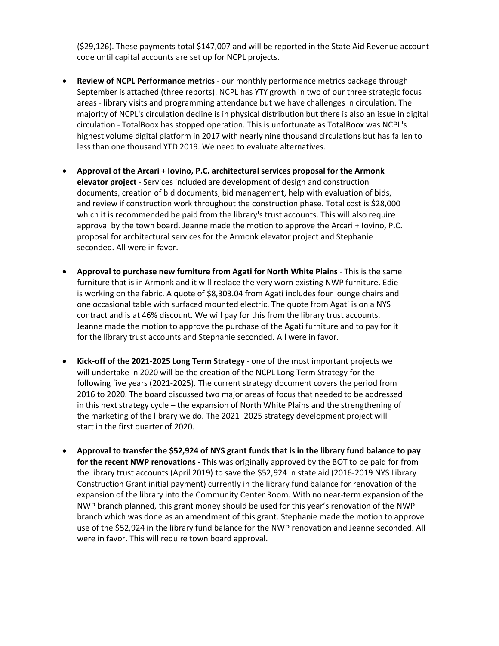(\$29,126). These payments total \$147,007 and will be reported in the State Aid Revenue account code until capital accounts are set up for NCPL projects.

- **Review of NCPL Performance metrics**  our monthly performance metrics package through September is attached (three reports). NCPL has YTY growth in two of our three strategic focus areas - library visits and programming attendance but we have challenges in circulation. The majority of NCPL's circulation decline is in physical distribution but there is also an issue in digital circulation - TotalBoox has stopped operation. This is unfortunate as TotalBoox was NCPL's highest volume digital platform in 2017 with nearly nine thousand circulations but has fallen to less than one thousand YTD 2019. We need to evaluate alternatives.
- **Approval of the Arcari + Iovino, P.C. architectural services proposal for the Armonk elevator project** - Services included are development of design and construction documents, creation of bid documents, bid management, help with evaluation of bids, and review if construction work throughout the construction phase. Total cost is \$28,000 which it is recommended be paid from the library's trust accounts. This will also require approval by the town board. Jeanne made the motion to approve the Arcari + Iovino, P.C. proposal for architectural services for the Armonk elevator project and Stephanie seconded. All were in favor.
- **Approval to purchase new furniture from Agati for North White Plains** This is the same furniture that is in Armonk and it will replace the very worn existing NWP furniture. Edie is working on the fabric. A quote of \$8,303.04 from Agati includes four lounge chairs and one occasional table with surfaced mounted electric. The quote from Agati is on a NYS contract and is at 46% discount. We will pay for this from the library trust accounts. Jeanne made the motion to approve the purchase of the Agati furniture and to pay for it for the library trust accounts and Stephanie seconded. All were in favor.
- **Kick-off of the 2021-2025 Long Term Strategy** one of the most important projects we will undertake in 2020 will be the creation of the NCPL Long Term Strategy for the following five years (2021-2025). The current strategy document covers the period from 2016 to 2020. The board discussed two major areas of focus that needed to be addressed in this next strategy cycle – the expansion of North White Plains and the strengthening of the marketing of the library we do. The 2021–2025 strategy development project will start in the first quarter of 2020.
- **Approval to transfer the \$52,924 of NYS grant funds that is in the library fund balance to pay for the recent NWP renovations -** This was originally approved by the BOT to be paid for from the library trust accounts (April 2019) to save the \$52,924 in state aid (2016-2019 NYS Library Construction Grant initial payment) currently in the library fund balance for renovation of the expansion of the library into the Community Center Room. With no near-term expansion of the NWP branch planned, this grant money should be used for this year's renovation of the NWP branch which was done as an amendment of this grant. Stephanie made the motion to approve use of the \$52,924 in the library fund balance for the NWP renovation and Jeanne seconded. All were in favor. This will require town board approval.